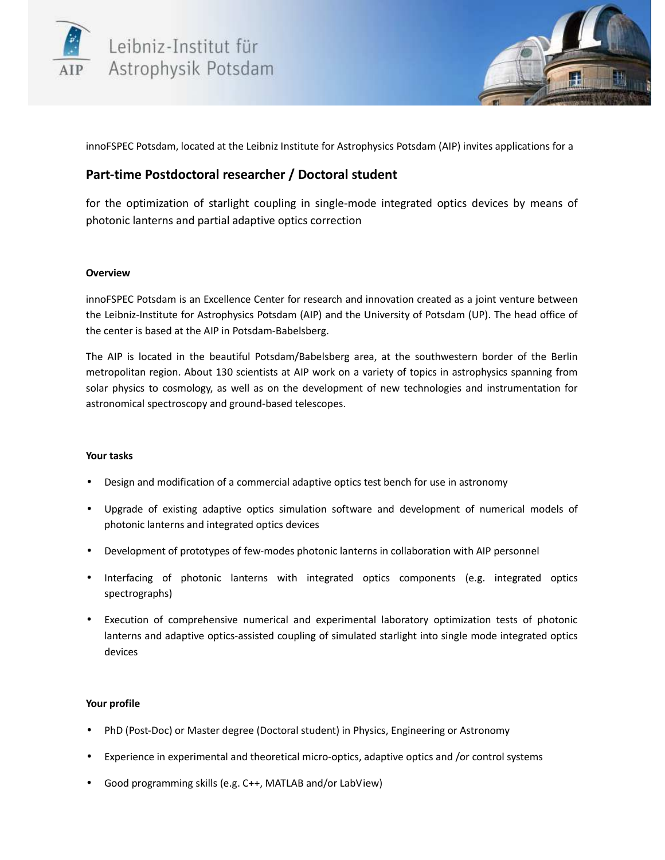



innoFSPEC Potsdam, located at the Leibniz Institute for Astrophysics Potsdam (AIP) invites applications for a

# **Part-time Postdoctoral researcher / Doctoral student**

for the optimization of starlight coupling in single-mode integrated optics devices by means of photonic lanterns and partial adaptive optics correction

## **Overview**

innoFSPEC Potsdam is an Excellence Center for research and innovation created as a joint venture between the Leibniz-Institute for Astrophysics Potsdam (AIP) and the University of Potsdam (UP). The head office of the center is based at the AIP in Potsdam-Babelsberg.

The AIP is located in the beautiful Potsdam/Babelsberg area, at the southwestern border of the Berlin metropolitan region. About 130 scientists at AIP work on a variety of topics in astrophysics spanning from solar physics to cosmology, as well as on the development of new technologies and instrumentation for astronomical spectroscopy and ground-based telescopes.

## **Your tasks**

- Design and modification of a commercial adaptive optics test bench for use in astronomy
- Upgrade of existing adaptive optics simulation software and development of numerical models of photonic lanterns and integrated optics devices
- Development of prototypes of few-modes photonic lanterns in collaboration with AIP personnel
- Interfacing of photonic lanterns with integrated optics components (e.g. integrated optics spectrographs)
- Execution of comprehensive numerical and experimental laboratory optimization tests of photonic lanterns and adaptive optics-assisted coupling of simulated starlight into single mode integrated optics devices

## **Your profile**

- PhD (Post-Doc) or Master degree (Doctoral student) in Physics, Engineering or Astronomy
- Experience in experimental and theoretical micro-optics, adaptive optics and /or control systems
- Good programming skills (e.g. C++, MATLAB and/or LabView)